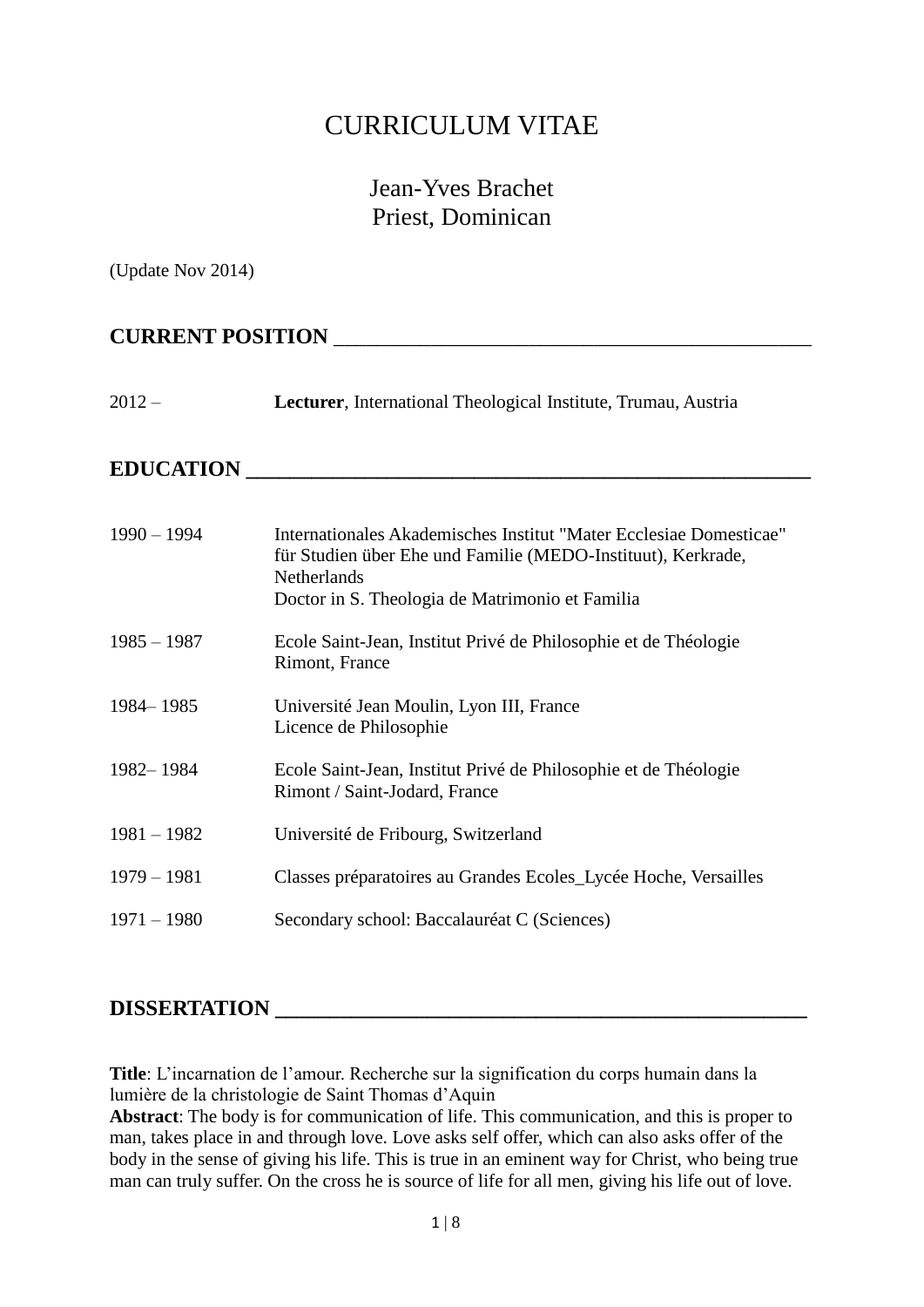# CURRICULUM VITAE

# Jean-Yves Brachet Priest, Dominican

(Update Nov 2014)

# **CURRENT POSITION** \_\_\_\_\_\_\_\_\_\_\_\_\_\_\_\_\_\_\_\_\_\_\_\_\_\_\_\_\_\_\_\_\_\_\_\_\_\_\_\_\_\_\_\_

#### 2012 – **Lecturer**, International Theological Institute, Trumau, Austria

#### **EDUCATION \_\_\_\_\_\_\_\_\_\_\_\_\_\_\_\_\_\_\_\_\_\_\_\_\_\_\_\_\_\_\_\_\_\_\_\_\_\_\_\_\_\_\_\_\_\_\_\_\_\_\_\_**

| $1990 - 1994$ | Internationales Akademisches Institut "Mater Ecclesiae Domesticae"<br>für Studien über Ehe und Familie (MEDO-Instituut), Kerkrade,<br><b>Netherlands</b><br>Doctor in S. Theologia de Matrimonio et Familia |
|---------------|-------------------------------------------------------------------------------------------------------------------------------------------------------------------------------------------------------------|
| $1985 - 1987$ | Ecole Saint-Jean, Institut Privé de Philosophie et de Théologie<br>Rimont, France                                                                                                                           |
| 1984–1985     | Université Jean Moulin, Lyon III, France<br>Licence de Philosophie                                                                                                                                          |
| 1982–1984     | Ecole Saint-Jean, Institut Privé de Philosophie et de Théologie<br>Rimont / Saint-Jodard, France                                                                                                            |
| $1981 - 1982$ | Université de Fribourg, Switzerland                                                                                                                                                                         |
| $1979 - 1981$ | Classes préparatoires au Grandes Ecoles_Lycée Hoche, Versailles                                                                                                                                             |
| $1971 - 1980$ | Secondary school: Baccalauréat C (Sciences)                                                                                                                                                                 |

## DISSERTATION **WE**

**Title**: L'incarnation de l'amour. Recherche sur la signification du corps humain dans la lumière de la christologie de Saint Thomas d'Aquin

**Abstract**: The body is for communication of life. This communication, and this is proper to man, takes place in and through love. Love asks self offer, which can also asks offer of the body in the sense of giving his life. This is true in an eminent way for Christ, who being true man can truly suffer. On the cross he is source of life for all men, giving his life out of love.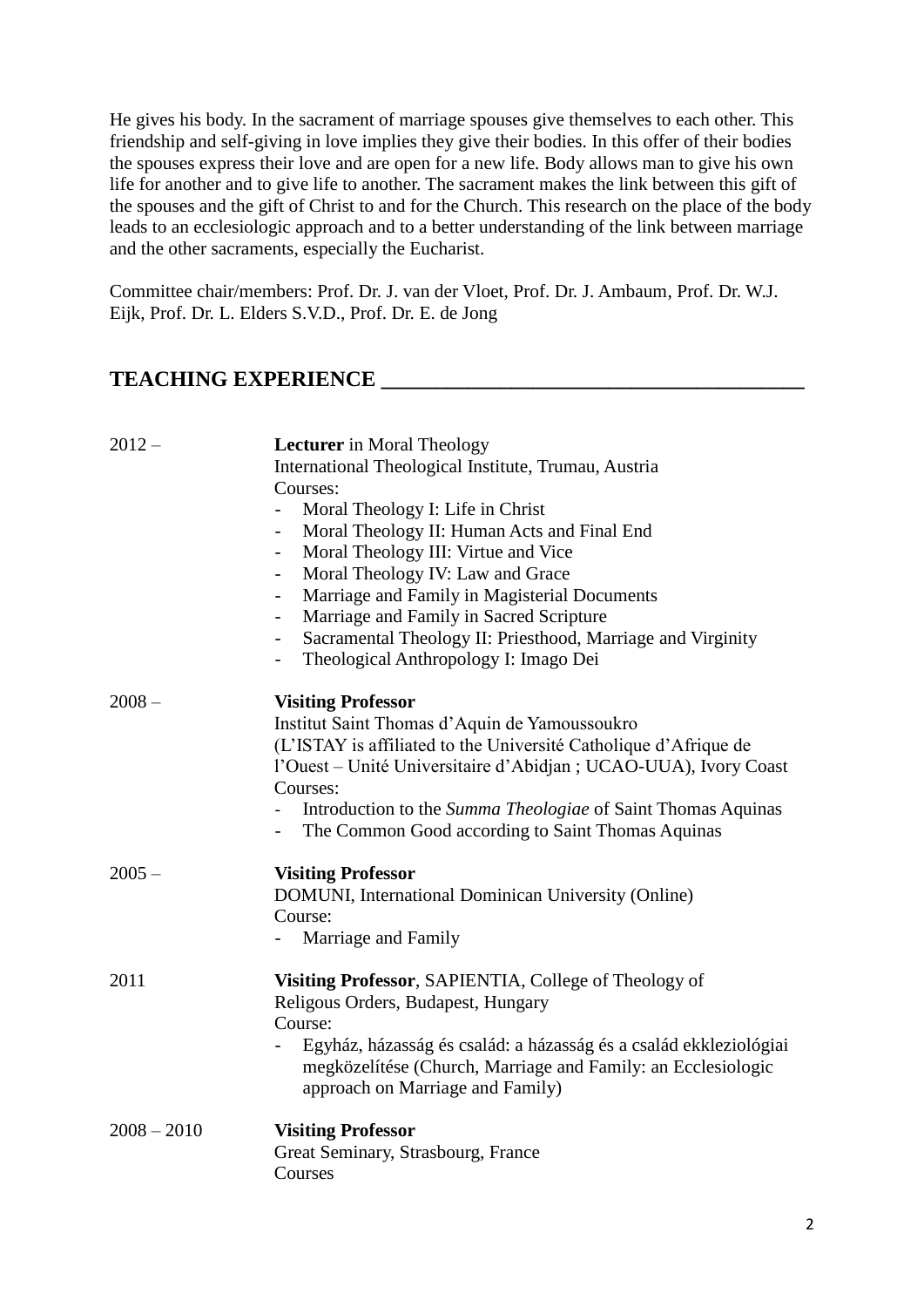He gives his body. In the sacrament of marriage spouses give themselves to each other. This friendship and self-giving in love implies they give their bodies. In this offer of their bodies the spouses express their love and are open for a new life. Body allows man to give his own life for another and to give life to another. The sacrament makes the link between this gift of the spouses and the gift of Christ to and for the Church. This research on the place of the body leads to an ecclesiologic approach and to a better understanding of the link between marriage and the other sacraments, especially the Eucharist.

Committee chair/members: Prof. Dr. J. van der Vloet, Prof. Dr. J. Ambaum, Prof. Dr. W.J. Eijk, Prof. Dr. L. Elders S.V.D., Prof. Dr. E. de Jong

### **TEACHING EXPERIENCE \_\_\_\_\_\_\_\_\_\_\_\_\_\_\_\_\_\_\_\_\_\_\_\_\_\_\_\_\_\_\_\_\_\_\_\_\_\_\_**

| $2012 -$      | <b>Lecturer</b> in Moral Theology<br>International Theological Institute, Trumau, Austria<br>Courses:<br>Moral Theology I: Life in Christ<br>$\overline{\phantom{a}}$<br>Moral Theology II: Human Acts and Final End<br>$\qquad \qquad -$<br>Moral Theology III: Virtue and Vice<br>$\blacksquare$<br>Moral Theology IV: Law and Grace<br>$\blacksquare$<br>Marriage and Family in Magisterial Documents<br>$\overline{\phantom{a}}$<br>Marriage and Family in Sacred Scripture<br>Sacramental Theology II: Priesthood, Marriage and Virginity<br>Theological Anthropology I: Imago Dei<br>$\overline{\phantom{0}}$ |
|---------------|---------------------------------------------------------------------------------------------------------------------------------------------------------------------------------------------------------------------------------------------------------------------------------------------------------------------------------------------------------------------------------------------------------------------------------------------------------------------------------------------------------------------------------------------------------------------------------------------------------------------|
| $2008 -$      | <b>Visiting Professor</b><br>Institut Saint Thomas d'Aquin de Yamoussoukro<br>(L'ISTAY is affiliated to the Université Catholique d'Afrique de<br>l'Ouest – Unité Universitaire d'Abidjan ; UCAO-UUA), Ivory Coast<br>Courses:<br>Introduction to the Summa Theologiae of Saint Thomas Aquinas<br>The Common Good according to Saint Thomas Aquinas                                                                                                                                                                                                                                                                 |
| $2005 -$      | <b>Visiting Professor</b><br>DOMUNI, International Dominican University (Online)<br>Course:<br>Marriage and Family                                                                                                                                                                                                                                                                                                                                                                                                                                                                                                  |
| 2011          | Visiting Professor, SAPIENTIA, College of Theology of<br>Religous Orders, Budapest, Hungary<br>Course:<br>Egyház, házasság és család: a házasság és a család ekkleziológiai<br>megközelítése (Church, Marriage and Family: an Ecclesiologic<br>approach on Marriage and Family)                                                                                                                                                                                                                                                                                                                                     |
| $2008 - 2010$ | <b>Visiting Professor</b><br>Great Seminary, Strasbourg, France<br>Courses                                                                                                                                                                                                                                                                                                                                                                                                                                                                                                                                          |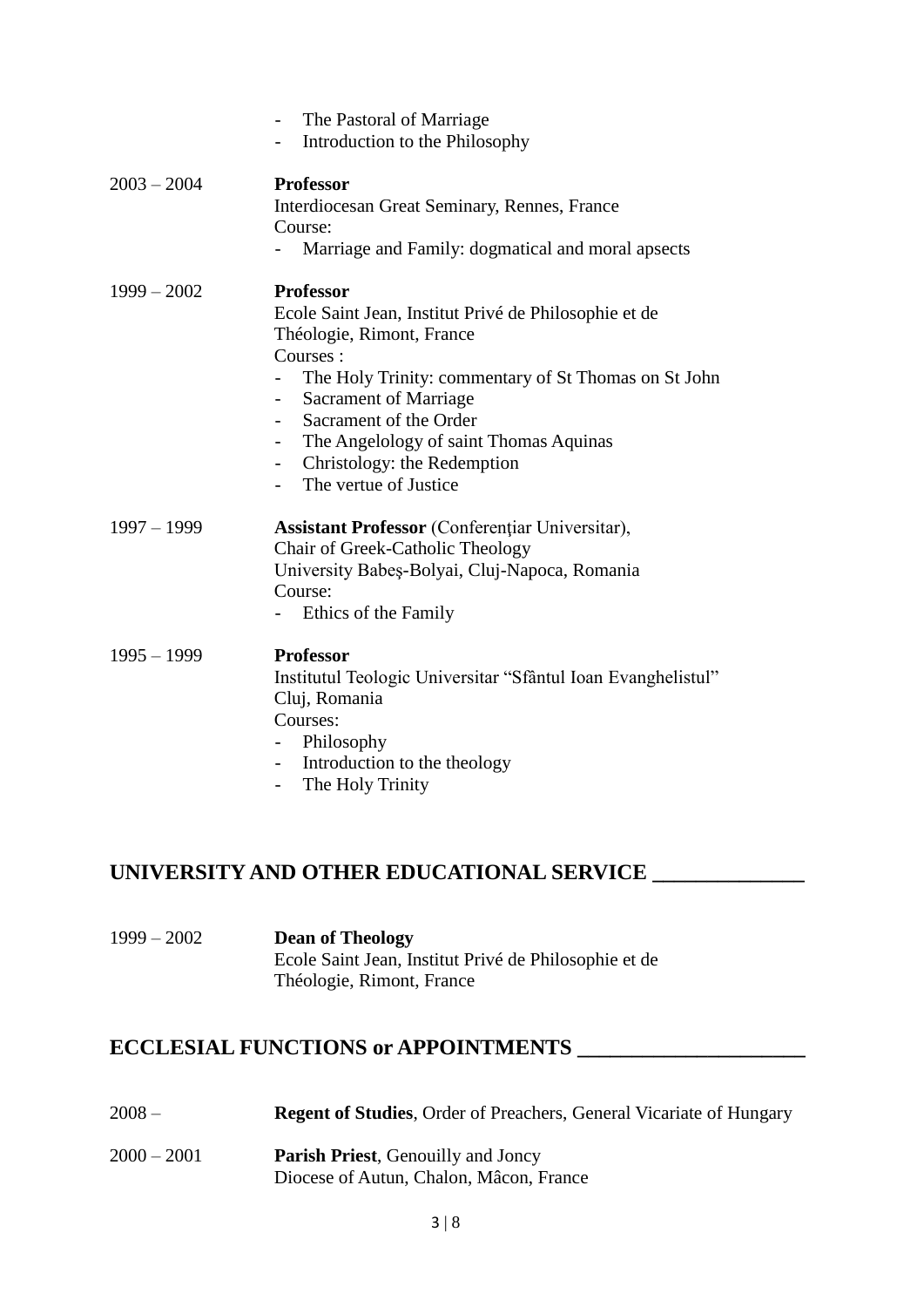|               | The Pastoral of Marriage<br>Introduction to the Philosophy<br>$\overline{\phantom{0}}$                                                                                                                                                                                                                                                                                     |
|---------------|----------------------------------------------------------------------------------------------------------------------------------------------------------------------------------------------------------------------------------------------------------------------------------------------------------------------------------------------------------------------------|
| $2003 - 2004$ | <b>Professor</b><br>Interdiocesan Great Seminary, Rennes, France<br>Course:<br>Marriage and Family: dogmatical and moral apsects                                                                                                                                                                                                                                           |
| $1999 - 2002$ | <b>Professor</b><br>Ecole Saint Jean, Institut Privé de Philosophie et de<br>Théologie, Rimont, France<br>Courses:<br>The Holy Trinity: commentary of St Thomas on St John<br><b>Sacrament of Marriage</b><br>Sacrament of the Order<br>The Angelology of saint Thomas Aquinas<br>$ -$<br>Christology: the Redemption<br>The vertue of Justice<br>$\overline{\phantom{0}}$ |
| $1997 - 1999$ | <b>Assistant Professor</b> (Conferentiar Universitar),<br>Chair of Greek-Catholic Theology<br>University Babeș-Bolyai, Cluj-Napoca, Romania<br>Course:<br>Ethics of the Family                                                                                                                                                                                             |
| $1995 - 1999$ | <b>Professor</b><br>Institutul Teologic Universitar "Sfântul Ioan Evanghelistul"<br>Cluj, Romania<br>Courses:<br>Philosophy<br>- Introduction to the theology<br>The Holy Trinity<br>$\overline{\phantom{0}}$                                                                                                                                                              |

### **UNIVERSITY AND OTHER EDUCATIONAL SERVICE \_\_\_\_\_\_\_\_\_\_\_\_\_\_**

| $1999 - 2002$ | <b>Dean of Theology</b>                               |
|---------------|-------------------------------------------------------|
|               | Ecole Saint Jean, Institut Privé de Philosophie et de |
|               | Théologie, Rimont, France                             |

# **ECCLESIAL FUNCTIONS or APPOINTMENTS \_\_\_\_\_\_\_\_\_\_\_\_\_\_\_\_\_\_\_\_\_**

- 2008 **Regent of Studies**, Order of Preachers, General Vicariate of Hungary
- 2000 2001 **Parish Priest**, Genouilly and Joncy Diocese of Autun, Chalon, Mâcon, France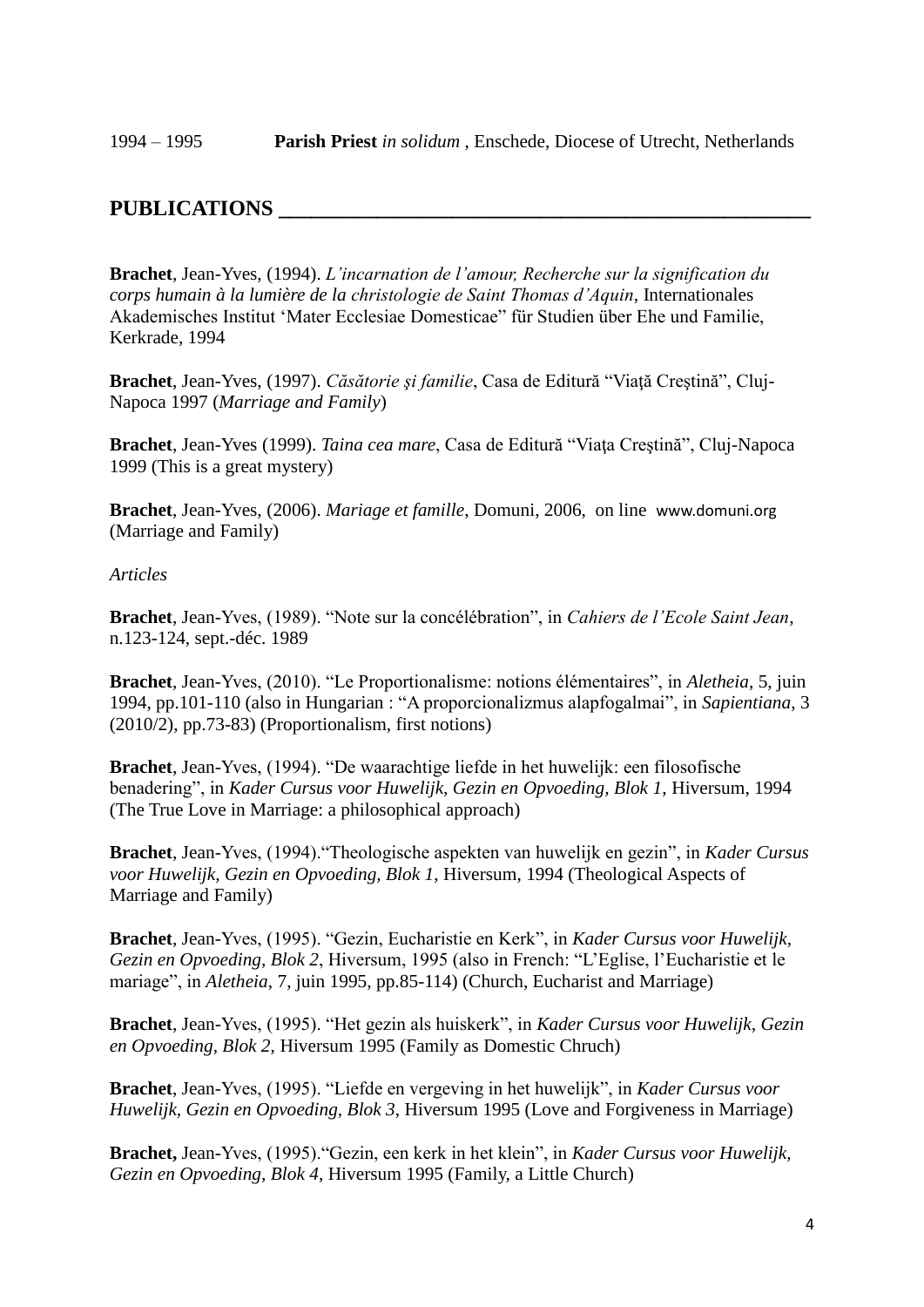### **PUBLICATIONS \_\_\_\_\_\_\_\_\_\_\_\_\_\_\_\_\_\_\_\_\_\_\_\_\_\_\_\_\_\_\_\_\_\_\_\_\_\_\_\_\_\_\_\_\_\_\_\_\_**

**Brachet**, Jean-Yves, (1994). *L'incarnation de l'amour, Recherche sur la signification du corps humain à la lumière de la christologie de Saint Thomas d'Aquin*, Internationales Akademisches Institut 'Mater Ecclesiae Domesticae" für Studien über Ehe und Familie, Kerkrade, 1994

**Brachet**, Jean-Yves, (1997). *Căsătorie şi familie*, Casa de Editură "Viaţă Creştină", Cluj-Napoca 1997 (*Marriage and Family*)

**Brachet**, Jean-Yves (1999). *Taina cea mare*, Casa de Editură "Viaţa Creştină", Cluj-Napoca 1999 (This is a great mystery)

**Brachet**, Jean-Yves, (2006). *Mariage et famille*, Domuni, 2006, on line [www.domuni.org](http://www.domuni.org/) (Marriage and Family)

#### *Articles*

**Brachet**, Jean-Yves, (1989). "Note sur la concélébration", in *Cahiers de l'Ecole Saint Jean*, n.123-124, sept.-déc. 1989

**Brachet**, Jean-Yves, (2010). "Le Proportionalisme: notions élémentaires", in *Aletheia*, 5, juin 1994, pp.101-110 (also in Hungarian : "A proporcionalizmus alapfogalmai", in *Sapientiana*, 3 (2010/2), pp.73-83) (Proportionalism, first notions)

**Brachet**, Jean-Yves, (1994). "De waarachtige liefde in het huwelijk: een filosofische benadering", in *Kader Cursus voor Huwelijk, Gezin en Opvoeding, Blok 1*, Hiversum, 1994 (The True Love in Marriage: a philosophical approach)

**Brachet**, Jean-Yves, (1994)."Theologische aspekten van huwelijk en gezin", in *Kader Cursus voor Huwelijk, Gezin en Opvoeding, Blok 1*, Hiversum, 1994 (Theological Aspects of Marriage and Family)

**Brachet**, Jean-Yves, (1995). "Gezin, Eucharistie en Kerk", in *Kader Cursus voor Huwelijk, Gezin en Opvoeding, Blok 2*, Hiversum, 1995 (also in French: "L'Eglise, l'Eucharistie et le mariage", in *Aletheia*, 7, juin 1995, pp.85-114) (Church, Eucharist and Marriage)

**Brachet**, Jean-Yves, (1995). "Het gezin als huiskerk", in *Kader Cursus voor Huwelijk, Gezin en Opvoeding, Blok 2*, Hiversum 1995 (Family as Domestic Chruch)

**Brachet**, Jean-Yves, (1995). "Liefde en vergeving in het huwelijk", in *Kader Cursus voor Huwelijk, Gezin en Opvoeding, Blok 3*, Hiversum 1995 (Love and Forgiveness in Marriage)

**Brachet,** Jean-Yves, (1995)."Gezin, een kerk in het klein", in *Kader Cursus voor Huwelijk, Gezin en Opvoeding, Blok 4*, Hiversum 1995 (Family, a Little Church)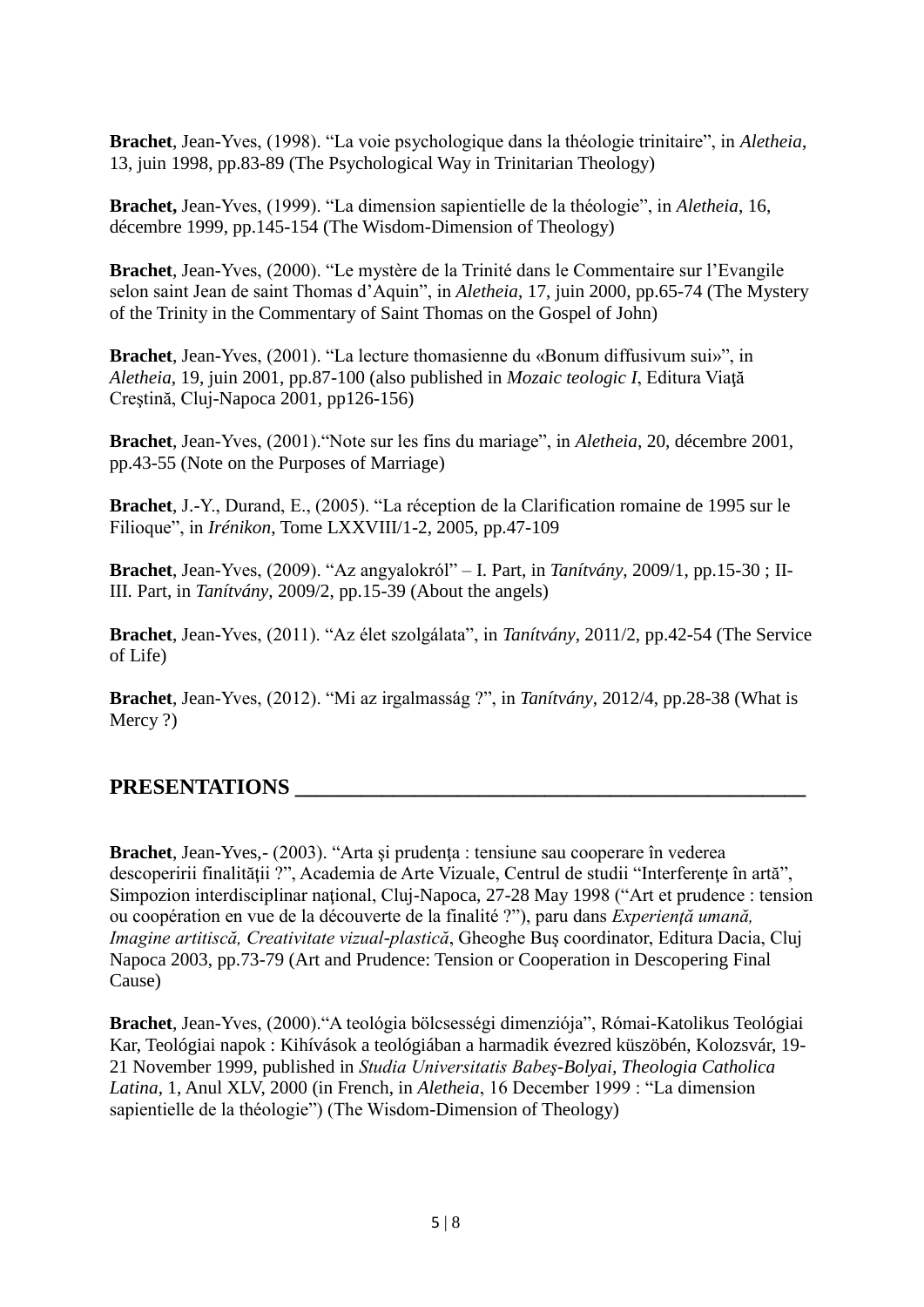**Brachet**, Jean-Yves, (1998). "La voie psychologique dans la théologie trinitaire", in *Aletheia*, 13, juin 1998, pp.83-89 (The Psychological Way in Trinitarian Theology)

**Brachet,** Jean-Yves, (1999). "La dimension sapientielle de la théologie", in *Aletheia*, 16, décembre 1999, pp.145-154 (The Wisdom-Dimension of Theology)

**Brachet**, Jean-Yves, (2000). "Le mystère de la Trinité dans le Commentaire sur l'Evangile selon saint Jean de saint Thomas d'Aquin", in *Aletheia*, 17, juin 2000, pp.65-74 (The Mystery of the Trinity in the Commentary of Saint Thomas on the Gospel of John)

**Brachet**, Jean-Yves, (2001). "La lecture thomasienne du «Bonum diffusivum sui»", in *Aletheia*, 19, juin 2001, pp.87-100 (also published in *Mozaic teologic I*, Editura Viaţă Creştină, Cluj-Napoca 2001, pp126-156)

**Brachet**, Jean-Yves, (2001)."Note sur les fins du mariage", in *Aletheia*, 20, décembre 2001, pp.43-55 (Note on the Purposes of Marriage)

**Brachet**, J.-Y., Durand, E., (2005). "La réception de la Clarification romaine de 1995 sur le Filioque", in *Irénikon*, Tome LXXVIII/1-2, 2005, pp.47-109

**Brachet**, Jean-Yves, (2009). "Az angyalokról" – I. Part, in *Tanítvány*, 2009/1, pp.15-30 ; II-III. Part, in *Tanítvány*, 2009/2, pp.15-39 (About the angels)

**Brachet**, Jean-Yves, (2011). "Az élet szolgálata", in *Tanítvány*, 2011/2, pp.42-54 (The Service of Life)

**Brachet**, Jean-Yves, (2012). "Mi az irgalmasság ?", in *Tanítvány*, 2012/4, pp.28-38 (What is Mercy ?)

### **PRESENTATIONS \_\_\_\_\_\_\_\_\_\_\_\_\_\_\_\_\_\_\_\_\_\_\_\_\_\_\_\_\_\_\_\_\_\_\_\_\_\_\_\_\_\_\_\_\_\_\_**

**Brachet**, Jean-Yves, - (2003). "Arta și prudența : tensiune sau cooperare în vederea descoperirii finalităţii ?", Academia de Arte Vizuale, Centrul de studii "Interferenţe în artă", Simpozion interdisciplinar naţional, Cluj-Napoca, 27-28 May 1998 ("Art et prudence : tension ou coopération en vue de la découverte de la finalité ?"), paru dans *Experienţă umană, Imagine artitiscă, Creativitate vizual-plastică*, Gheoghe Buş coordinator, Editura Dacia, Cluj Napoca 2003, pp.73-79 (Art and Prudence: Tension or Cooperation in Descopering Final Cause)

**Brachet**, Jean-Yves, (2000)."A teológia bölcsességi dimenziója", Római-Katolikus Teológiai Kar, Teológiai napok : Kihívások a teológiában a harmadik évezred küszöbén, Kolozsvár, 19- 21 November 1999, published in *Studia Universitatis Babeş-Bolyai, Theologia Catholica Latina*, 1, Anul XLV, 2000 (in French, in *Aletheia*, 16 December 1999 : "La dimension sapientielle de la théologie") (The Wisdom-Dimension of Theology)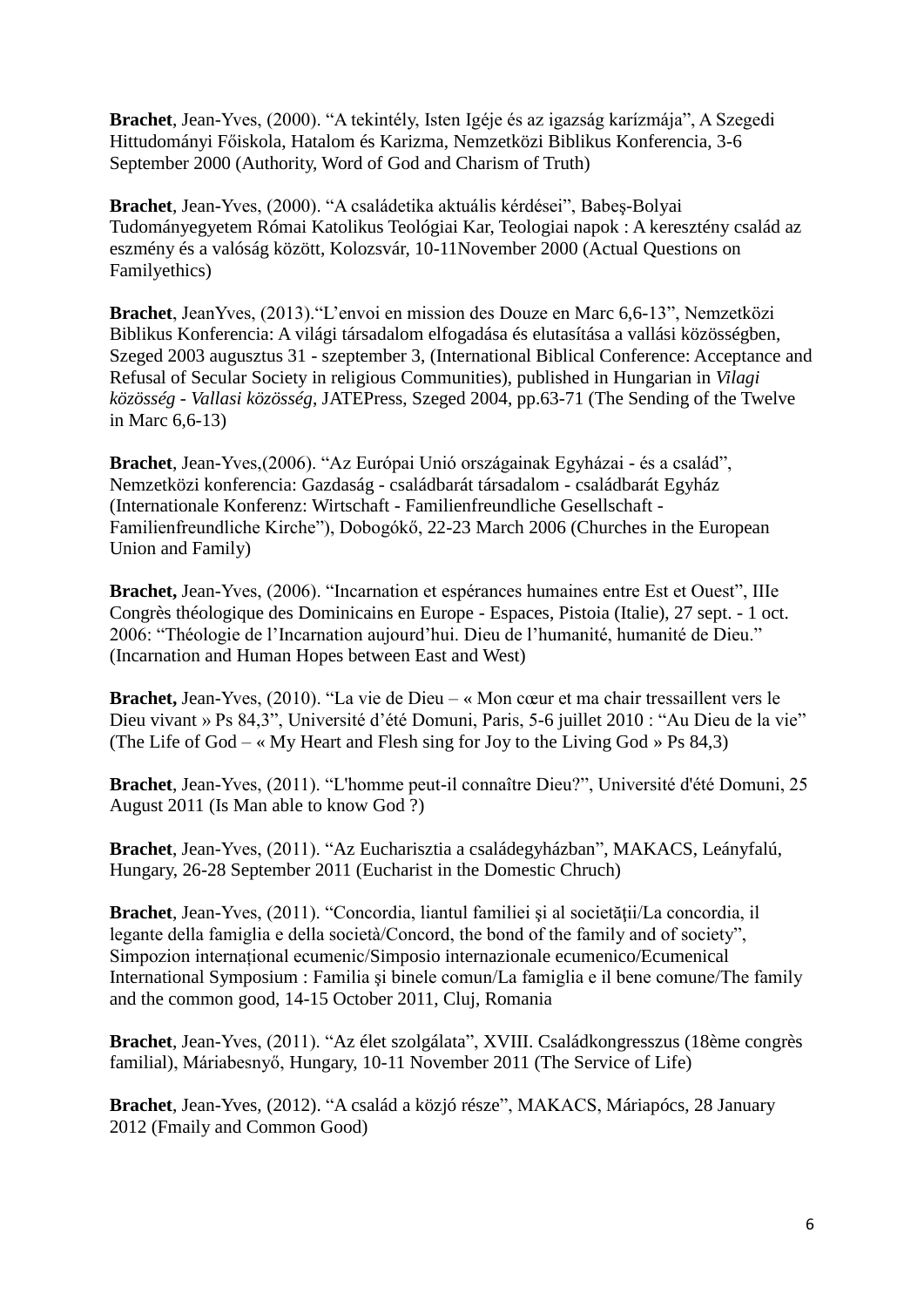**Brachet**, Jean-Yves, (2000). "A tekintély, Isten Igéje és az igazság karízmája", A Szegedi Hittudományi Főiskola, Hatalom és Karizma, Nemzetközi Biblikus Konferencia, 3-6 September 2000 (Authority, Word of God and Charism of Truth)

**Brachet**, Jean-Yves, (2000). "A családetika aktuális kérdései", Babeş-Bolyai Tudományegyetem Római Katolikus Teológiai Kar, Teologiai napok : A keresztény család az eszmény és a valóság között, Kolozsvár, 10-11November 2000 (Actual Questions on Familyethics)

**Brachet**, JeanYves, (2013)."L'envoi en mission des Douze en Marc 6,6-13", Nemzetközi Biblikus Konferencia: A világi társadalom elfogadása és elutasítása a vallási közösségben, Szeged 2003 augusztus 31 - szeptember 3, (International Biblical Conference: Acceptance and Refusal of Secular Society in religious Communities), published in Hungarian in *Vilagi közösség - Vallasi közösség*, JATEPress, Szeged 2004, pp.63-71 (The Sending of the Twelve in Marc 6,6-13)

**Brachet**, Jean-Yves,(2006). "Az Európai Unió országainak Egyházai - és a család", Nemzetközi konferencia: Gazdaság - családbarát társadalom - családbarát Egyház (Internationale Konferenz: Wirtschaft - Familienfreundliche Gesellschaft - Familienfreundliche Kirche"), Dobogókő, 22-23 March 2006 (Churches in the European Union and Family)

**Brachet,** Jean-Yves, (2006). "Incarnation et espérances humaines entre Est et Ouest", IIIe Congrès théologique des Dominicains en Europe - Espaces, Pistoia (Italie), 27 sept. - 1 oct. 2006: "Théologie de l'Incarnation aujourd'hui. Dieu de l'humanité, humanité de Dieu." (Incarnation and Human Hopes between East and West)

**Brachet,** Jean-Yves, (2010). "La vie de Dieu – « Mon cœur et ma chair tressaillent vers le Dieu vivant » Ps 84,3", Université d'été Domuni, Paris, 5-6 juillet 2010 : "Au Dieu de la vie" (The Life of God – « My Heart and Flesh sing for Joy to the Living God » Ps  $84,3$ )

**Brachet**, Jean-Yves, (2011). "L'homme peut-il connaître Dieu?", Université d'été Domuni, 25 August 2011 (Is Man able to know God ?)

**Brachet**, Jean-Yves, (2011). "Az Eucharisztia a családegyházban", MAKACS, Leányfalú, Hungary, 26-28 September 2011 (Eucharist in the Domestic Chruch)

**Brachet**, Jean-Yves, (2011). "Concordia, liantul familiei şi al societăţii/La concordia, il legante della famiglia e della società/Concord, the bond of the family and of society", Simpozion internațional ecumenic/Simposio internazionale ecumenico/Ecumenical International Symposium : Familia şi binele comun/La famiglia e il bene comune/The family and the common good, 14-15 October 2011, Cluj, Romania

**Brachet**, Jean-Yves, (2011). "Az élet szolgálata", XVIII. Családkongresszus (18ème congrès familial), Máriabesnyő, Hungary, 10-11 November 2011 (The Service of Life)

**Brachet**, Jean-Yves, (2012). "A család a közjó része", MAKACS, Máriapócs, 28 January 2012 (Fmaily and Common Good)